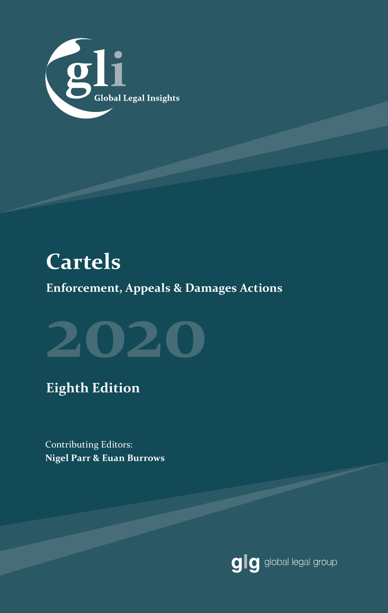

## **Cartels**

**Enforcement, Appeals & Damages Actions**



## **Eighth Edition**

Contributing Editors: **Nigel Parr & Euan Burrows**

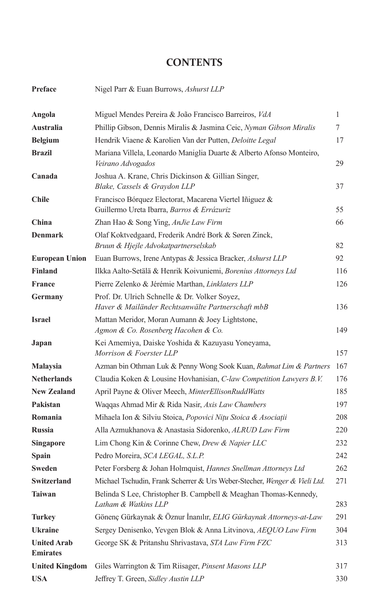#### **CONTENTS**

| Preface                               | Nigel Parr & Euan Burrows, Ashurst LLP                                                                |     |
|---------------------------------------|-------------------------------------------------------------------------------------------------------|-----|
| Angola                                | Miguel Mendes Pereira & João Francisco Barreiros, VdA                                                 | 1   |
| <b>Australia</b>                      | Phillip Gibson, Dennis Miralis & Jasmina Ceic, Nyman Gibson Miralis                                   | 7   |
| <b>Belgium</b>                        | Hendrik Viaene & Karolien Van der Putten, Deloitte Legal                                              | 17  |
| <b>Brazil</b>                         | Mariana Villela, Leonardo Maniglia Duarte & Alberto Afonso Monteiro,<br>Veirano Advogados             | 29  |
| Canada                                | Joshua A. Krane, Chris Dickinson & Gillian Singer,<br>Blake, Cassels & Graydon LLP                    | 37  |
| <b>Chile</b>                          | Francisco Bórquez Electorat, Macarena Viertel Iñiguez &<br>Guillermo Ureta Ibarra, Barros & Errázuriz | 55  |
| China                                 | Zhan Hao & Song Ying, AnJie Law Firm                                                                  | 66  |
| <b>Denmark</b>                        | Olaf Koktvedgaard, Frederik André Bork & Søren Zinck,<br>Bruun & Hjejle Advokatpartnerselskab         | 82  |
| <b>European Union</b>                 | Euan Burrows, Irene Antypas & Jessica Bracker, Ashurst LLP                                            | 92  |
| <b>Finland</b>                        | Ilkka Aalto-Setälä & Henrik Koivuniemi, Borenius Attorneys Ltd                                        | 116 |
| <b>France</b>                         | Pierre Zelenko & Jérémie Marthan, Linklaters LLP                                                      | 126 |
| Germany                               | Prof. Dr. Ulrich Schnelle & Dr. Volker Soyez,<br>Haver & Mailänder Rechtsanwälte Partnerschaft mbB    | 136 |
| <b>Israel</b>                         | Mattan Meridor, Moran Aumann & Joey Lightstone,<br>Agmon & Co. Rosenberg Hacohen & Co.                | 149 |
| Japan                                 | Kei Amemiya, Daiske Yoshida & Kazuyasu Yoneyama,<br>Morrison & Foerster LLP                           | 157 |
| <b>Malaysia</b>                       | Azman bin Othman Luk & Penny Wong Sook Kuan, Rahmat Lim & Partners                                    | 167 |
| <b>Netherlands</b>                    | Claudia Koken & Lousine Hovhanisian, C-law Competition Lawyers B.V.                                   | 176 |
| <b>New Zealand</b>                    | April Payne & Oliver Meech, MinterEllisonRuddWatts                                                    | 185 |
| Pakistan                              | Waqqas Ahmad Mir & Rida Nasir, Axis Law Chambers                                                      | 197 |
| Romania                               | Mihaela Ion & Silviu Stoica, Popovici Nițu Stoica & Asociații                                         | 208 |
| <b>Russia</b>                         | Alla Azmukhanova & Anastasia Sidorenko, ALRUD Law Firm                                                | 220 |
| <b>Singapore</b>                      | Lim Chong Kin & Corinne Chew, Drew & Napier LLC                                                       | 232 |
| Spain                                 | Pedro Moreira, SCA LEGAL, S.L.P.                                                                      | 242 |
| <b>Sweden</b>                         | Peter Forsberg & Johan Holmquist, Hannes Snellman Attorneys Ltd                                       | 262 |
| Switzerland                           | Michael Tschudin, Frank Scherrer & Urs Weber-Stecher, Wenger & Vieli Ltd.                             | 271 |
| Taiwan                                | Belinda S Lee, Christopher B. Campbell & Meaghan Thomas-Kennedy,<br>Latham & Watkins LLP              | 283 |
| <b>Turkey</b>                         | Gönenç Gürkaynak & Öznur İnanılır, ELIG Gürkaynak Attorneys-at-Law                                    | 291 |
| <b>Ukraine</b>                        | Sergey Denisenko, Yevgen Blok & Anna Litvinova, AEQUO Law Firm                                        | 304 |
| <b>United Arab</b><br><b>Emirates</b> | George SK & Pritanshu Shrivastava, STA Law Firm FZC                                                   | 313 |
| <b>United Kingdom</b>                 | Giles Warrington & Tim Riisager, Pinsent Masons LLP                                                   | 317 |
| <b>USA</b>                            | Jeffrey T. Green, Sidley Austin LLP                                                                   | 330 |
|                                       |                                                                                                       |     |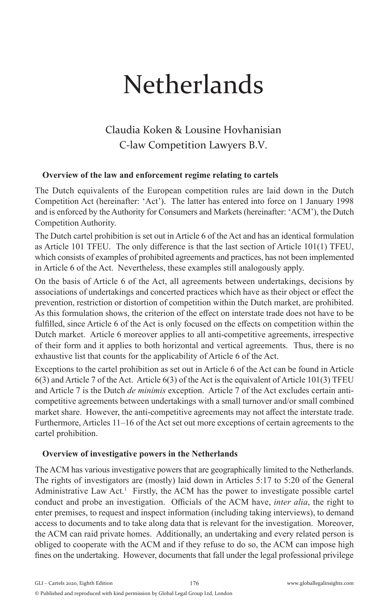# **Netherlands**

### Claudia Koken & Lousine Hovhanisian C-law Competition Lawyers B.V.

#### **Overview of the law and enforcement regime relating to cartels**

The Dutch equivalents of the European competition rules are laid down in the Dutch Competition Act (hereinafter: 'Act'). The latter has entered into force on 1 January 1998 and is enforced by the Authority for Consumers and Markets (hereinafter: 'ACM'), the Dutch Competition Authority.

The Dutch cartel prohibition is set out in Article 6 of the Act and has an identical formulation as Article 101 TFEU. The only difference is that the last section of Article 101(1) TFEU, which consists of examples of prohibited agreements and practices, has not been implemented in Article 6 of the Act. Nevertheless, these examples still analogously apply.

On the basis of Article 6 of the Act, all agreements between undertakings, decisions by associations of undertakings and concerted practices which have as their object or effect the prevention, restriction or distortion of competition within the Dutch market, are prohibited. As this formulation shows, the criterion of the effect on interstate trade does not have to be fulfilled, since Article 6 of the Act is only focused on the effects on competition within the Dutch market. Article 6 moreover applies to all anti-competitive agreements, irrespective of their form and it applies to both horizontal and vertical agreements. Thus, there is no exhaustive list that counts for the applicability of Article 6 of the Act.

Exceptions to the cartel prohibition as set out in Article 6 of the Act can be found in Article 6(3) and Article 7 of the Act. Article 6(3) of the Act is the equivalent of Article 101(3) TFEU and Article 7 is the Dutch *de minimis* exception. Article 7 of the Act excludes certain anticompetitive agreements between undertakings with a small turnover and/or small combined market share. However, the anti-competitive agreements may not affect the interstate trade. Furthermore, Articles 11–16 of the Act set out more exceptions of certain agreements to the cartel prohibition.

#### **Overview of investigative powers in the Netherlands**

The ACM has various investigative powers that are geographically limited to the Netherlands. The rights of investigators are (mostly) laid down in Articles 5:17 to 5:20 of the General Administrative Law Act.<sup>1</sup> Firstly, the ACM has the power to investigate possible cartel conduct and probe an investigation. Officials of the ACM have, *inter alia*, the right to enter premises, to request and inspect information (including taking interviews), to demand access to documents and to take along data that is relevant for the investigation. Moreover, the ACM can raid private homes. Additionally, an undertaking and every related person is obliged to cooperate with the ACM and if they refuse to do so, the ACM can impose high fines on the undertaking. However, documents that fall under the legal professional privilege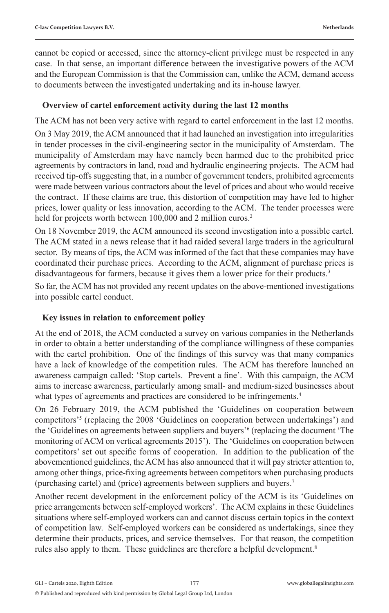cannot be copied or accessed, since the attorney-client privilege must be respected in any case. In that sense, an important difference between the investigative powers of the ACM and the European Commission is that the Commission can, unlike the ACM, demand access to documents between the investigated undertaking and its in-house lawyer.

#### **Overview of cartel enforcement activity during the last 12 months**

The ACM has not been very active with regard to cartel enforcement in the last 12 months. On 3 May 2019, the ACM announced that it had launched an investigation into irregularities in tender processes in the civil-engineering sector in the municipality of Amsterdam. The municipality of Amsterdam may have namely been harmed due to the prohibited price agreements by contractors in land, road and hydraulic engineering projects. The ACM had received tip-offs suggesting that, in a number of government tenders, prohibited agreements were made between various contractors about the level of prices and about who would receive the contract. If these claims are true, this distortion of competition may have led to higher prices, lower quality or less innovation, according to the ACM. The tender processes were held for projects worth between 100,000 and 2 million euros.<sup>2</sup>

On 18 November 2019, the ACM announced its second investigation into a possible cartel. The ACM stated in a news release that it had raided several large traders in the agricultural sector. By means of tips, the ACM was informed of the fact that these companies may have coordinated their purchase prices. According to the ACM, alignment of purchase prices is disadvantageous for farmers, because it gives them a lower price for their products.<sup>3</sup>

So far, the ACM has not provided any recent updates on the above-mentioned investigations into possible cartel conduct.

#### **Key issues in relation to enforcement policy**

At the end of 2018, the ACM conducted a survey on various companies in the Netherlands in order to obtain a better understanding of the compliance willingness of these companies with the cartel prohibition. One of the findings of this survey was that many companies have a lack of knowledge of the competition rules. The ACM has therefore launched an awareness campaign called: 'Stop cartels. Prevent a fine'. With this campaign, the ACM aims to increase awareness, particularly among small- and medium-sized businesses about what types of agreements and practices are considered to be infringements.<sup>4</sup>

On 26 February 2019, the ACM published the 'Guidelines on cooperation between competitors'5 (replacing the 2008 'Guidelines on cooperation between undertakings') and the 'Guidelines on agreements between suppliers and buyers'6 (replacing the document 'The monitoring of ACM on vertical agreements 2015'). The 'Guidelines on cooperation between competitors' set out specific forms of cooperation. In addition to the publication of the abovementioned guidelines, the ACM has also announced that it will pay stricter attention to, among other things, price-fixing agreements between competitors when purchasing products (purchasing cartel) and (price) agreements between suppliers and buyers.7

Another recent development in the enforcement policy of the ACM is its 'Guidelines on price arrangements between self-employed workers'. The ACM explains in these Guidelines situations where self-employed workers can and cannot discuss certain topics in the context of competition law. Self-employed workers can be considered as undertakings, since they determine their products, prices, and service themselves. For that reason, the competition rules also apply to them. These guidelines are therefore a helpful development.<sup>8</sup>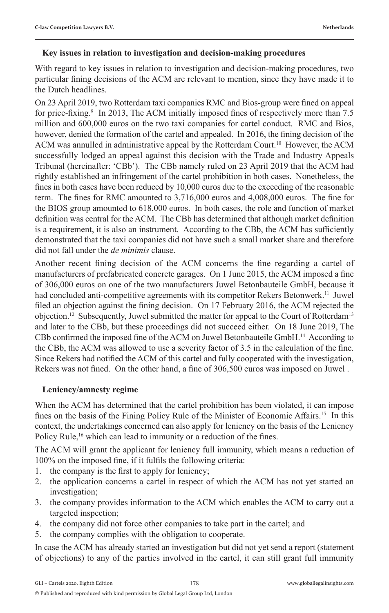#### **Key issues in relation to investigation and decision-making procedures**

With regard to key issues in relation to investigation and decision-making procedures, two particular fining decisions of the ACM are relevant to mention, since they have made it to the Dutch headlines.

On 23 April 2019, two Rotterdam taxi companies RMC and Bios-group were fined on appeal for price-fixing.<sup>9</sup> In 2013, The ACM initially imposed fines of respectively more than 7.5 million and 600,000 euros on the two taxi companies for cartel conduct. RMC and Bios, however, denied the formation of the cartel and appealed. In 2016, the fining decision of the ACM was annulled in administrative appeal by the Rotterdam Court.10 However, the ACM successfully lodged an appeal against this decision with the Trade and Industry Appeals Tribunal (hereinafter: 'CBb'). The CBb namely ruled on 23 April 2019 that the ACM had rightly established an infringement of the cartel prohibition in both cases. Nonetheless, the fines in both cases have been reduced by 10,000 euros due to the exceeding of the reasonable term. The fines for RMC amounted to 3,716,000 euros and 4,008,000 euros. The fine for the BIOS group amounted to 618,000 euros. In both cases, the role and function of market definition was central for the ACM. The CBb has determined that although market definition is a requirement, it is also an instrument. According to the CBb, the ACM has sufficiently demonstrated that the taxi companies did not have such a small market share and therefore did not fall under the *de minimis* clause.

Another recent fining decision of the ACM concerns the fine regarding a cartel of manufacturers of prefabricated concrete garages. On 1 June 2015, the ACM imposed a fine of 306,000 euros on one of the two manufacturers Juwel Betonbauteile GmbH, because it had concluded anti-competitive agreements with its competitor Rekers Betonwerk.<sup>11</sup> Juwel filed an objection against the fining decision. On 17 February 2016, the ACM rejected the objection.<sup>12</sup> Subsequently, Juwel submitted the matter for appeal to the Court of Rotterdam<sup>13</sup> and later to the CBb, but these proceedings did not succeed either. On 18 June 2019, The CBb confirmed the imposed fine of the ACM on Juwel Betonbauteile GmbH.14 According to the CBb, the ACM was allowed to use a severity factor of 3.5 in the calculation of the fine. Since Rekers had notified the ACM of this cartel and fully cooperated with the investigation, Rekers was not fined. On the other hand, a fine of 306,500 euros was imposed on Juwel .

#### **Leniency/amnesty regime**

When the ACM has determined that the cartel prohibition has been violated, it can impose fines on the basis of the Fining Policy Rule of the Minister of Economic Affairs.<sup>15</sup> In this context, the undertakings concerned can also apply for leniency on the basis of the Leniency Policy Rule,<sup>16</sup> which can lead to immunity or a reduction of the fines.

The ACM will grant the applicant for leniency full immunity, which means a reduction of 100% on the imposed fine, if it fulfils the following criteria:

- 1. the company is the first to apply for leniency;
- 2. the application concerns a cartel in respect of which the ACM has not yet started an investigation;
- 3. the company provides information to the ACM which enables the ACM to carry out a targeted inspection;
- 4. the company did not force other companies to take part in the cartel; and
- 5. the company complies with the obligation to cooperate.

In case the ACM has already started an investigation but did not yet send a report (statement of objections) to any of the parties involved in the cartel, it can still grant full immunity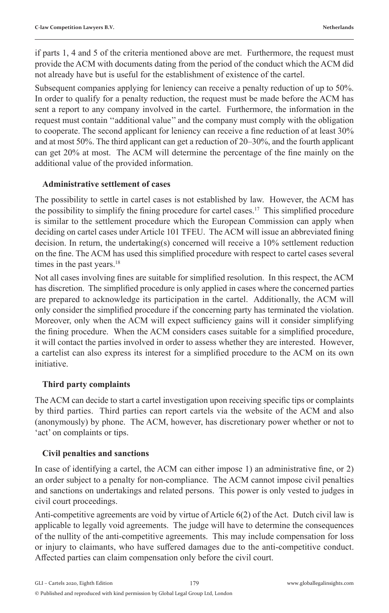if parts 1, 4 and 5 of the criteria mentioned above are met. Furthermore, the request must provide the ACM with documents dating from the period of the conduct which the ACM did not already have but is useful for the establishment of existence of the cartel.

Subsequent companies applying for leniency can receive a penalty reduction of up to 50%. In order to qualify for a penalty reduction, the request must be made before the ACM has sent a report to any company involved in the cartel. Furthermore, the information in the request must contain ''additional value'' and the company must comply with the obligation to cooperate. The second applicant for leniency can receive a fine reduction of at least 30% and at most 50%. The third applicant can get a reduction of 20–30%, and the fourth applicant can get 20% at most. The ACM will determine the percentage of the fine mainly on the additional value of the provided information.

#### **Administrative settlement of cases**

The possibility to settle in cartel cases is not established by law. However, the ACM has the possibility to simplify the fining procedure for cartel cases.<sup>17</sup> This simplified procedure is similar to the settlement procedure which the European Commission can apply when deciding on cartel cases under Article 101 TFEU. The ACM will issue an abbreviated fining decision. In return, the undertaking(s) concerned will receive a 10% settlement reduction on the fine. The ACM has used this simplified procedure with respect to cartel cases several times in the past years.<sup>18</sup>

Not all cases involving fines are suitable for simplified resolution. In this respect, the ACM has discretion. The simplified procedure is only applied in cases where the concerned parties are prepared to acknowledge its participation in the cartel. Additionally, the ACM will only consider the simplified procedure if the concerning party has terminated the violation. Moreover, only when the ACM will expect sufficiency gains will it consider simplifying the fining procedure. When the ACM considers cases suitable for a simplified procedure, it will contact the parties involved in order to assess whether they are interested. However, a cartelist can also express its interest for a simplified procedure to the ACM on its own initiative.

#### **Third party complaints**

The ACM can decide to start a cartel investigation upon receiving specific tips or complaints by third parties. Third parties can report cartels via the website of the ACM and also (anonymously) by phone. The ACM, however, has discretionary power whether or not to 'act' on complaints or tips.

#### **Civil penalties and sanctions**

In case of identifying a cartel, the ACM can either impose 1) an administrative fine, or 2) an order subject to a penalty for non-compliance. The ACM cannot impose civil penalties and sanctions on undertakings and related persons. This power is only vested to judges in civil court proceedings.

Anti-competitive agreements are void by virtue of Article 6(2) of the Act. Dutch civil law is applicable to legally void agreements. The judge will have to determine the consequences of the nullity of the anti-competitive agreements. This may include compensation for loss or injury to claimants, who have suffered damages due to the anti-competitive conduct. Affected parties can claim compensation only before the civil court.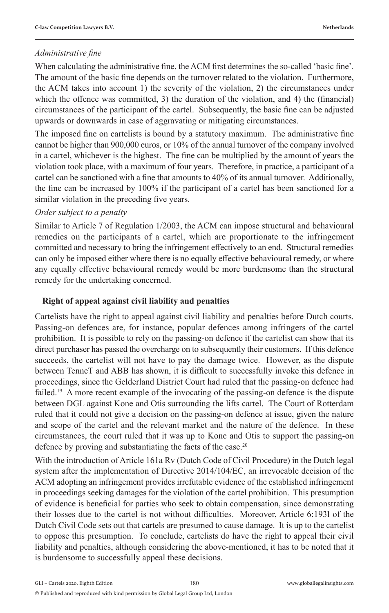#### *Administrative fine*

When calculating the administrative fine, the ACM first determines the so-called 'basic fine'. The amount of the basic fine depends on the turnover related to the violation. Furthermore, the ACM takes into account 1) the severity of the violation, 2) the circumstances under which the offence was committed, 3) the duration of the violation, and 4) the (financial) circumstances of the participant of the cartel. Subsequently, the basic fine can be adjusted upwards or downwards in case of aggravating or mitigating circumstances.

The imposed fine on cartelists is bound by a statutory maximum. The administrative fine cannot be higher than 900,000 euros, or 10% of the annual turnover of the company involved in a cartel, whichever is the highest. The fine can be multiplied by the amount of years the violation took place, with a maximum of four years. Therefore, in practice, a participant of a cartel can be sanctioned with a fine that amounts to 40% of its annual turnover. Additionally, the fine can be increased by 100% if the participant of a cartel has been sanctioned for a similar violation in the preceding five years.

#### *Order subject to a penalty*

Similar to Article 7 of Regulation 1/2003, the ACM can impose structural and behavioural remedies on the participants of a cartel, which are proportionate to the infringement committed and necessary to bring the infringement effectively to an end. Structural remedies can only be imposed either where there is no equally effective behavioural remedy, or where any equally effective behavioural remedy would be more burdensome than the structural remedy for the undertaking concerned.

#### **Right of appeal against civil liability and penalties**

Cartelists have the right to appeal against civil liability and penalties before Dutch courts. Passing-on defences are, for instance, popular defences among infringers of the cartel prohibition. It is possible to rely on the passing-on defence if the cartelist can show that its direct purchaser has passed the overcharge on to subsequently their customers. If this defence succeeds, the cartelist will not have to pay the damage twice. However, as the dispute between TenneT and ABB has shown, it is difficult to successfully invoke this defence in proceedings, since the Gelderland District Court had ruled that the passing-on defence had failed.<sup>19</sup> A more recent example of the invocating of the passing-on defence is the dispute between DGL against Kone and Otis surrounding the lifts cartel. The Court of Rotterdam ruled that it could not give a decision on the passing-on defence at issue, given the nature and scope of the cartel and the relevant market and the nature of the defence. In these circumstances, the court ruled that it was up to Kone and Otis to support the passing-on defence by proving and substantiating the facts of the case.<sup>20</sup>

With the introduction of Article 161a Rv (Dutch Code of Civil Procedure) in the Dutch legal system after the implementation of Directive 2014/104/EC, an irrevocable decision of the ACM adopting an infringement provides irrefutable evidence of the established infringement in proceedings seeking damages for the violation of the cartel prohibition. This presumption of evidence is beneficial for parties who seek to obtain compensation, since demonstrating their losses due to the cartel is not without difficulties. Moreover, Article 6:193l of the Dutch Civil Code sets out that cartels are presumed to cause damage. It is up to the cartelist to oppose this presumption. To conclude, cartelists do have the right to appeal their civil liability and penalties, although considering the above-mentioned, it has to be noted that it is burdensome to successfully appeal these decisions.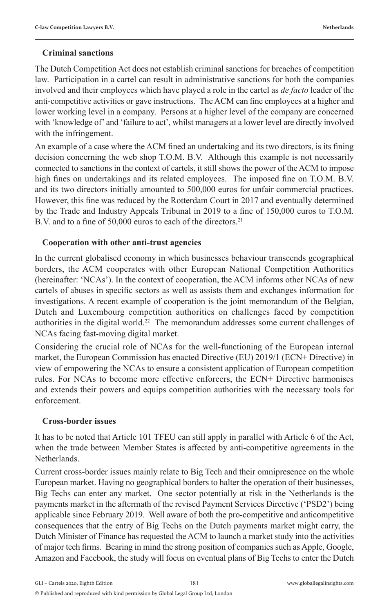#### **Criminal sanctions**

The Dutch Competition Act does not establish criminal sanctions for breaches of competition law. Participation in a cartel can result in administrative sanctions for both the companies involved and their employees which have played a role in the cartel as *de facto* leader of the anti-competitive activities or gave instructions. The ACM can fine employees at a higher and lower working level in a company. Persons at a higher level of the company are concerned with 'knowledge of' and 'failure to act', whilst managers at a lower level are directly involved with the infringement.

An example of a case where the ACM fined an undertaking and its two directors, is its fining decision concerning the web shop T.O.M. B.V. Although this example is not necessarily connected to sanctions in the context of cartels, it still shows the power of the ACM to impose high fines on undertakings and its related employees. The imposed fine on T.O.M. B.V. and its two directors initially amounted to 500,000 euros for unfair commercial practices. However, this fine was reduced by the Rotterdam Court in 2017 and eventually determined by the Trade and Industry Appeals Tribunal in 2019 to a fine of 150,000 euros to T.O.M. B.V. and to a fine of 50,000 euros to each of the directors.<sup>21</sup>

#### **Cooperation with other anti-trust agencies**

In the current globalised economy in which businesses behaviour transcends geographical borders, the ACM cooperates with other European National Competition Authorities (hereinafter: 'NCAs'). In the context of cooperation, the ACM informs other NCAs of new cartels of abuses in specific sectors as well as assists them and exchanges information for investigations. A recent example of cooperation is the joint memorandum of the Belgian, Dutch and Luxembourg competition authorities on challenges faced by competition authorities in the digital world.<sup>22</sup> The memorandum addresses some current challenges of NCAs facing fast-moving digital market.

Considering the crucial role of NCAs for the well-functioning of the European internal market, the European Commission has enacted Directive (EU) 2019/1 (ECN+ Directive) in view of empowering the NCAs to ensure a consistent application of European competition rules. For NCAs to become more effective enforcers, the ECN+ Directive harmonises and extends their powers and equips competition authorities with the necessary tools for enforcement.

#### **Cross-border issues**

It has to be noted that Article 101 TFEU can still apply in parallel with Article 6 of the Act, when the trade between Member States is affected by anti-competitive agreements in the Netherlands.

Current cross-border issues mainly relate to Big Tech and their omnipresence on the whole European market. Having no geographical borders to halter the operation of their businesses, Big Techs can enter any market. One sector potentially at risk in the Netherlands is the payments market in the aftermath of the revised Payment Services Directive ('PSD2') being applicable since February 2019. Well aware of both the pro-competitive and anticompetitive consequences that the entry of Big Techs on the Dutch payments market might carry, the Dutch Minister of Finance has requested the ACM to launch a market study into the activities of major tech firms. Bearing in mind the strong position of companies such as Apple, Google, Amazon and Facebook, the study will focus on eventual plans of Big Techs to enter the Dutch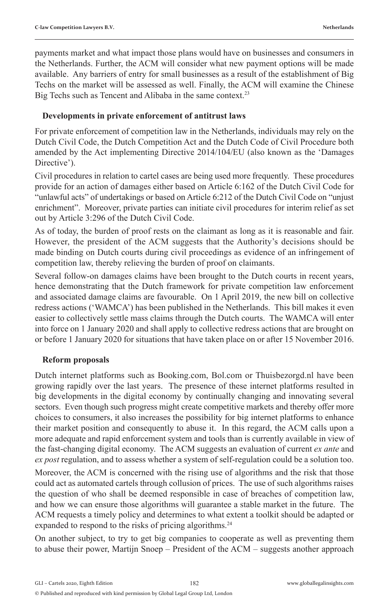payments market and what impact those plans would have on businesses and consumers in the Netherlands. Further, the ACM will consider what new payment options will be made available. Any barriers of entry for small businesses as a result of the establishment of Big Techs on the market will be assessed as well. Finally, the ACM will examine the Chinese Big Techs such as Tencent and Alibaba in the same context.<sup>23</sup>

#### **Developments in private enforcement of antitrust laws**

For private enforcement of competition law in the Netherlands, individuals may rely on the Dutch Civil Code, the Dutch Competition Act and the Dutch Code of Civil Procedure both amended by the Act implementing Directive 2014/104/EU (also known as the 'Damages Directive').

Civil procedures in relation to cartel cases are being used more frequently. These procedures provide for an action of damages either based on Article 6:162 of the Dutch Civil Code for "unlawful acts" of undertakings or based on Article 6:212 of the Dutch Civil Code on "unjust enrichment". Moreover, private parties can initiate civil procedures for interim relief as set out by Article 3:296 of the Dutch Civil Code.

As of today, the burden of proof rests on the claimant as long as it is reasonable and fair. However, the president of the ACM suggests that the Authority's decisions should be made binding on Dutch courts during civil proceedings as evidence of an infringement of competition law, thereby relieving the burden of proof on claimants.

Several follow-on damages claims have been brought to the Dutch courts in recent years, hence demonstrating that the Dutch framework for private competition law enforcement and associated damage claims are favourable. On 1 April 2019, the new bill on collective redress actions ('WAMCA') has been published in the Netherlands. This bill makes it even easier to collectively settle mass claims through the Dutch courts. The WAMCA will enter into force on 1 January 2020 and shall apply to collective redress actions that are brought on or before 1 January 2020 for situations that have taken place on or after 15 November 2016.

#### **Reform proposals**

Dutch internet platforms such as Booking.com, Bol.com or Thuisbezorgd.nl have been growing rapidly over the last years. The presence of these internet platforms resulted in big developments in the digital economy by continually changing and innovating several sectors. Even though such progress might create competitive markets and thereby offer more choices to consumers, it also increases the possibility for big internet platforms to enhance their market position and consequently to abuse it. In this regard, the ACM calls upon a more adequate and rapid enforcement system and tools than is currently available in view of the fast-changing digital economy. The ACM suggests an evaluation of current *ex ante* and *ex post* regulation, and to assess whether a system of self-regulation could be a solution too. Moreover, the ACM is concerned with the rising use of algorithms and the risk that those could act as automated cartels through collusion of prices. The use of such algorithms raises the question of who shall be deemed responsible in case of breaches of competition law, and how we can ensure those algorithms will guarantee a stable market in the future. The ACM requests a timely policy and determines to what extent a toolkit should be adapted or expanded to respond to the risks of pricing algorithms.<sup>24</sup>

On another subject, to try to get big companies to cooperate as well as preventing them to abuse their power, Martijn Snoep – President of the ACM – suggests another approach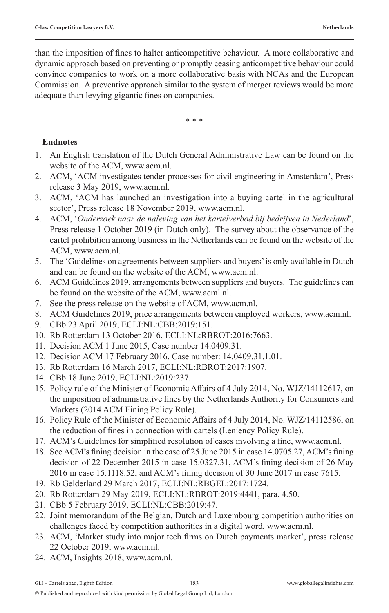than the imposition of fines to halter anticompetitive behaviour. A more collaborative and dynamic approach based on preventing or promptly ceasing anticompetitive behaviour could convince companies to work on a more collaborative basis with NCAs and the European Commission. A preventive approach similar to the system of merger reviews would be more adequate than levying gigantic fines on companies.

\* \* \*

#### **Endnotes**

- 1. An English translation of the Dutch General Administrative Law can be found on the website of the ACM, www.acm.nl.
- 2. ACM, 'ACM investigates tender processes for civil engineering in Amsterdam', Press release 3 May 2019, www.acm.nl.
- 3. ACM, 'ACM has launched an investigation into a buying cartel in the agricultural sector', Press release 18 November 2019, www.acm.nl.
- 4. ACM, '*Onderzoek naar de naleving van het kartelverbod bij bedrijven in Nederland*', Press release 1 October 2019 (in Dutch only). The survey about the observance of the cartel prohibition among business in the Netherlands can be found on the website of the ACM, www.acm.nl.
- 5. The 'Guidelines on agreements between suppliers and buyers' is only available in Dutch and can be found on the website of the ACM, www.acm.nl.
- 6. ACM Guidelines 2019, arrangements between suppliers and buyers. The guidelines can be found on the website of the ACM, www.acml.nl.
- 7. See the press release on the website of ACM, www.acm.nl.
- 8. ACM Guidelines 2019, price arrangements between employed workers, www.acm.nl.
- 9. CBb 23 April 2019, ECLI:NL:CBB:2019:151.
- 10. Rb Rotterdam 13 October 2016, ECLI:NL:RBROT:2016:7663.
- 11. Decision ACM 1 June 2015, Case number 14.0409.31.
- 12. Decision ACM 17 February 2016, Case number: 14.0409.31.1.01.
- 13. Rb Rotterdam 16 March 2017, ECLI:NL:RBROT:2017:1907.
- 14. CBb 18 June 2019, ECLI:NL:2019:237.
- 15. Policy rule of the Minister of Economic Affairs of 4 July 2014, No. WJZ/14112617, on the imposition of administrative fines by the Netherlands Authority for Consumers and Markets (2014 ACM Fining Policy Rule).
- 16. Policy Rule of the Minister of Economic Affairs of 4 July 2014, No. WJZ/14112586, on the reduction of fines in connection with cartels (Leniency Policy Rule).
- 17. ACM's Guidelines for simplified resolution of cases involving a fine, www.acm.nl.
- 18. See ACM's fining decision in the case of 25 June 2015 in case 14.0705.27, ACM's fining decision of 22 December 2015 in case 15.0327.31, ACM's fining decision of 26 May 2016 in case 15.1118.52, and ACM's fining decision of 30 June 2017 in case 7615.
- 19. Rb Gelderland 29 March 2017, ECLI:NL:RBGEL:2017:1724.
- 20. Rb Rotterdam 29 May 2019, ECLI:NL:RBROT:2019:4441, para. 4.50.
- 21. CBb 5 February 2019, ECLI:NL:CBB:2019:47.
- 22. Joint memorandum of the Belgian, Dutch and Luxembourg competition authorities on challenges faced by competition authorities in a digital word, www.acm.nl.
- 23. ACM, 'Market study into major tech firms on Dutch payments market', press release 22 October 2019, www.acm.nl.
- 24. ACM, Insights 2018, www.acm.nl.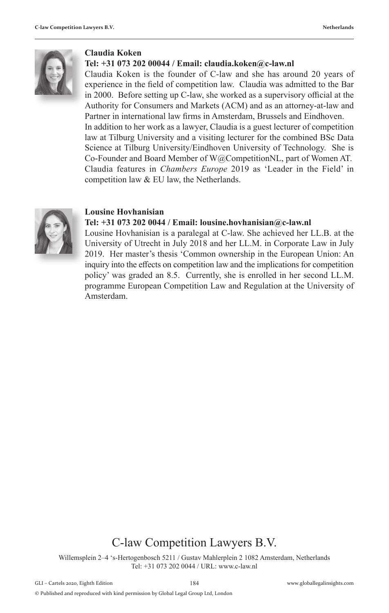

#### **Claudia Koken**

#### **Tel: +31 073 202 00044 / Email: claudia.koken@c-law.nl**

Claudia Koken is the founder of C-law and she has around 20 years of experience in the field of competition law. Claudia was admitted to the Bar in 2000. Before setting up C-law, she worked as a supervisory official at the Authority for Consumers and Markets (ACM) and as an attorney-at-law and Partner in international law firms in Amsterdam, Brussels and Eindhoven. In addition to her work as a lawyer, Claudia is a guest lecturer of competition law at Tilburg University and a visiting lecturer for the combined BSc Data Science at Tilburg University/Eindhoven University of Technology. She is Co-Founder and Board Member of W@CompetitionNL, part of Women AT. Claudia features in *Chambers Europe* 2019 as 'Leader in the Field' in competition law & EU law, the Netherlands.



#### **Lousine Hovhanisian**

#### **Tel: +31 073 202 0044 / Email: lousine.hovhanisian@c-law.nl**

Lousine Hovhanisian is a paralegal at C-law. She achieved her LL.B. at the University of Utrecht in July 2018 and her LL.M. in Corporate Law in July 2019. Her master's thesis 'Common ownership in the European Union: An inquiry into the effects on competition law and the implications for competition policy' was graded an 8.5. Currently, she is enrolled in her second LL.M. programme European Competition Law and Regulation at the University of Amsterdam.

#### C-law Competition Lawyers B.V.

Willemsplein 2–4 's-Hertogenbosch 5211 / Gustav Mahlerplein 2 1082 Amsterdam, Netherlands Tel: +31 073 202 0044 / URL: www.c-law.nl